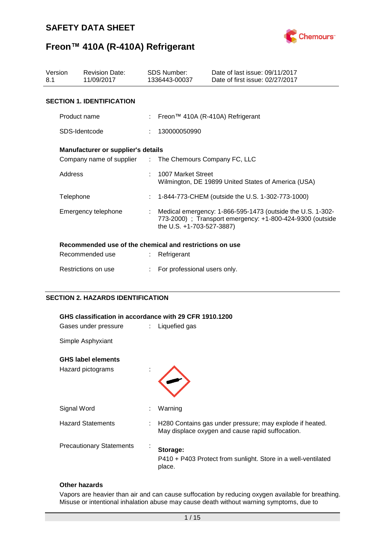

## **Freon™ 410A (R-410A) Refrigerant**

| Version<br>8.1 |                     | <b>Revision Date:</b><br>11/09/2017                                                           |    | <b>SDS Number:</b><br>1336443-00037              | Date of last issue: 09/11/2017<br>Date of first issue: 02/27/2017                                                       |  |
|----------------|---------------------|-----------------------------------------------------------------------------------------------|----|--------------------------------------------------|-------------------------------------------------------------------------------------------------------------------------|--|
|                |                     | <b>SECTION 1. IDENTIFICATION</b>                                                              |    |                                                  |                                                                                                                         |  |
|                | Product name        |                                                                                               |    |                                                  | Freon™ 410A (R-410A) Refrigerant                                                                                        |  |
|                |                     | SDS-Identcode                                                                                 |    | 130000050990                                     |                                                                                                                         |  |
|                |                     | Manufacturer or supplier's details<br>Company name of supplier : The Chemours Company FC, LLC |    |                                                  |                                                                                                                         |  |
|                | Address             |                                                                                               |    | 1007 Market Street                               | Wilmington, DE 19899 United States of America (USA)                                                                     |  |
|                | Telephone           |                                                                                               | ÷. | 1-844-773-CHEM (outside the U.S. 1-302-773-1000) |                                                                                                                         |  |
|                | Emergency telephone |                                                                                               |    | the U.S. +1-703-527-3887)                        | Medical emergency: 1-866-595-1473 (outside the U.S. 1-302-<br>773-2000) ; Transport emergency: +1-800-424-9300 (outside |  |
|                |                     | Recommended use of the chemical and restrictions on use                                       |    |                                                  |                                                                                                                         |  |
|                |                     | Recommended use                                                                               |    | Refrigerant                                      |                                                                                                                         |  |
|                |                     | Restrictions on use                                                                           |    | For professional users only.                     |                                                                                                                         |  |

### **SECTION 2. HAZARDS IDENTIFICATION**

| GHS classification in accordance with 29 CFR 1910.1200<br>Gases under pressure<br>$\therefore$ Liquefied gas |    |                                                                                                              |  |  |
|--------------------------------------------------------------------------------------------------------------|----|--------------------------------------------------------------------------------------------------------------|--|--|
| Simple Asphyxiant                                                                                            |    |                                                                                                              |  |  |
| <b>GHS label elements</b><br>Hazard pictograms                                                               |    |                                                                                                              |  |  |
| Signal Word                                                                                                  | ÷  | Warning                                                                                                      |  |  |
| <b>Hazard Statements</b>                                                                                     | ÷. | H280 Contains gas under pressure; may explode if heated.<br>May displace oxygen and cause rapid suffocation. |  |  |
| <b>Precautionary Statements</b>                                                                              |    | Storage:<br>P410 + P403 Protect from sunlight. Store in a well-ventilated<br>place.                          |  |  |

### **Other hazards**

Vapors are heavier than air and can cause suffocation by reducing oxygen available for breathing. Misuse or intentional inhalation abuse may cause death without warning symptoms, due to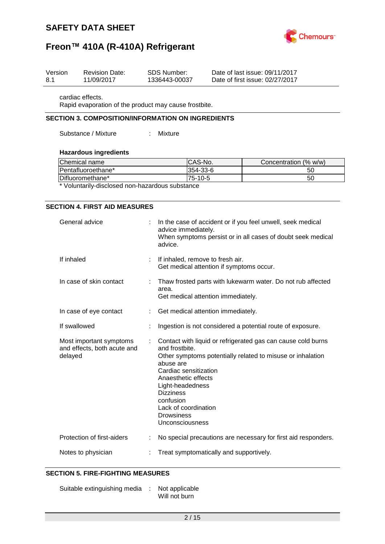



| Version | <b>Revision Date:</b> | SDS Number:   | Date of last issue: 09/11/2017  |
|---------|-----------------------|---------------|---------------------------------|
| 8.1     | 11/09/2017            | 1336443-00037 | Date of first issue: 02/27/2017 |

cardiac effects.

Rapid evaporation of the product may cause frostbite.

### **SECTION 3. COMPOSITION/INFORMATION ON INGREDIENTS**

Substance / Mixture : Mixture

### **Hazardous ingredients**

| Chemical name                                                        | ICAS-No.  | Concentration (% w/w) |  |  |
|----------------------------------------------------------------------|-----------|-----------------------|--|--|
| Pentafluoroethane*                                                   | 354-33-6  | 50                    |  |  |
| Difluoromethane*                                                     | $75-10-5$ | 50                    |  |  |
| . * Malendardie alla ala a a a la a a la amara la cerca a chantana a |           |                       |  |  |

Voluntarily-disclosed non-hazardous substance

#### **SECTION 4. FIRST AID MEASURES**

| General advice                                                    |                           | In the case of accident or if you feel unwell, seek medical<br>advice immediately.<br>When symptoms persist or in all cases of doubt seek medical<br>advice.                                                                                                                                                                   |
|-------------------------------------------------------------------|---------------------------|--------------------------------------------------------------------------------------------------------------------------------------------------------------------------------------------------------------------------------------------------------------------------------------------------------------------------------|
| If inhaled                                                        |                           | If inhaled, remove to fresh air.<br>Get medical attention if symptoms occur.                                                                                                                                                                                                                                                   |
| In case of skin contact                                           |                           | Thaw frosted parts with lukewarm water. Do not rub affected<br>area.<br>Get medical attention immediately.                                                                                                                                                                                                                     |
| In case of eye contact                                            | $\mathbb{R}^{\mathbb{Z}}$ | Get medical attention immediately.                                                                                                                                                                                                                                                                                             |
| If swallowed                                                      |                           | Ingestion is not considered a potential route of exposure.                                                                                                                                                                                                                                                                     |
| Most important symptoms<br>and effects, both acute and<br>delayed |                           | Contact with liquid or refrigerated gas can cause cold burns<br>and frostbite.<br>Other symptoms potentially related to misuse or inhalation<br>abuse are<br>Cardiac sensitization<br>Anaesthetic effects<br>Light-headedness<br><b>Dizziness</b><br>confusion<br>Lack of coordination<br><b>Drowsiness</b><br>Unconsciousness |
| Protection of first-aiders                                        |                           | No special precautions are necessary for first aid responders.                                                                                                                                                                                                                                                                 |
| Notes to physician                                                |                           | Treat symptomatically and supportively.                                                                                                                                                                                                                                                                                        |

### **SECTION 5. FIRE-FIGHTING MEASURES**

Suitable extinguishing media : Not applicable Will not burn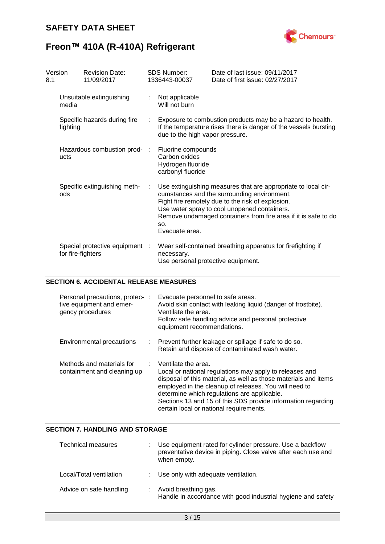

| Version<br>8.1 |                   | <b>Revision Date:</b><br>11/09/2017 |     | <b>SDS Number:</b><br>1336443-00037                                           | Date of last issue: 09/11/2017<br>Date of first issue: 02/27/2017                                                                                                                                                                                                                   |
|----------------|-------------------|-------------------------------------|-----|-------------------------------------------------------------------------------|-------------------------------------------------------------------------------------------------------------------------------------------------------------------------------------------------------------------------------------------------------------------------------------|
|                | media             | Unsuitable extinguishing            |     | Not applicable<br>Will not burn                                               |                                                                                                                                                                                                                                                                                     |
|                | fighting          | Specific hazards during fire        |     | due to the high vapor pressure.                                               | Exposure to combustion products may be a hazard to health.<br>If the temperature rises there is danger of the vessels bursting                                                                                                                                                      |
|                | ucts              | Hazardous combustion prod-          | -11 | Fluorine compounds<br>Carbon oxides<br>Hydrogen fluoride<br>carbonyl fluoride |                                                                                                                                                                                                                                                                                     |
|                | ods               | Specific extinguishing meth-        | ÷   | SO.<br>Evacuate area.                                                         | Use extinguishing measures that are appropriate to local cir-<br>cumstances and the surrounding environment.<br>Fight fire remotely due to the risk of explosion.<br>Use water spray to cool unopened containers.<br>Remove undamaged containers from fire area if it is safe to do |
|                | for fire-fighters | Special protective equipment :      |     | necessary.<br>Use personal protective equipment.                              | Wear self-contained breathing apparatus for firefighting if                                                                                                                                                                                                                         |

### **SECTION 6. ACCIDENTAL RELEASE MEASURES**

| Personal precautions, protec-:<br>tive equipment and emer-<br>gency procedures | Evacuate personnel to safe areas.<br>Avoid skin contact with leaking liquid (danger of frostbite).<br>Ventilate the area.<br>Follow safe handling advice and personal protective<br>equipment recommendations.                                                                                                                                                           |
|--------------------------------------------------------------------------------|--------------------------------------------------------------------------------------------------------------------------------------------------------------------------------------------------------------------------------------------------------------------------------------------------------------------------------------------------------------------------|
| Environmental precautions                                                      | : Prevent further leakage or spillage if safe to do so.<br>Retain and dispose of contaminated wash water.                                                                                                                                                                                                                                                                |
| Methods and materials for<br>containment and cleaning up                       | $:$ Ventilate the area.<br>Local or national regulations may apply to releases and<br>disposal of this material, as well as those materials and items<br>employed in the cleanup of releases. You will need to<br>determine which regulations are applicable.<br>Sections 13 and 15 of this SDS provide information regarding<br>certain local or national requirements. |

### **SECTION 7. HANDLING AND STORAGE**

| <b>Technical measures</b> | Use equipment rated for cylinder pressure. Use a backflow<br>preventative device in piping. Close valve after each use and<br>when empty. |
|---------------------------|-------------------------------------------------------------------------------------------------------------------------------------------|
| Local/Total ventilation   | : Use only with adequate ventilation.                                                                                                     |
| Advice on safe handling   | : Avoid breathing gas.<br>Handle in accordance with good industrial hygiene and safety                                                    |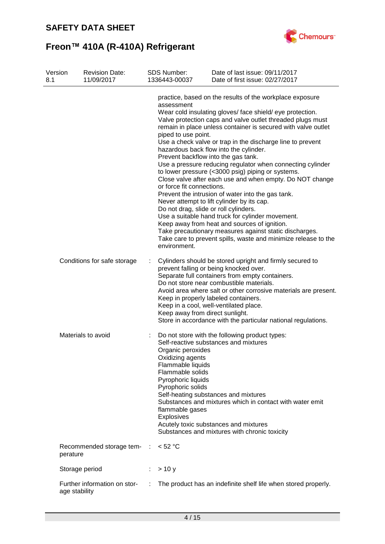

| Version<br>8.1 | <b>Revision Date:</b><br>11/09/2017           |   | <b>SDS Number:</b><br>1336443-00037                                                                                                                               | Date of last issue: 09/11/2017<br>Date of first issue: 02/27/2017                                                                                                                                                                                                                                                                                                                                                                                                                                                                                                                                                                                                                                                                                                                                                                                                                                                     |
|----------------|-----------------------------------------------|---|-------------------------------------------------------------------------------------------------------------------------------------------------------------------|-----------------------------------------------------------------------------------------------------------------------------------------------------------------------------------------------------------------------------------------------------------------------------------------------------------------------------------------------------------------------------------------------------------------------------------------------------------------------------------------------------------------------------------------------------------------------------------------------------------------------------------------------------------------------------------------------------------------------------------------------------------------------------------------------------------------------------------------------------------------------------------------------------------------------|
|                |                                               |   | assessment<br>piped to use point.<br>or force fit connections.<br>Do not drag, slide or roll cylinders.<br>environment.                                           | practice, based on the results of the workplace exposure<br>Wear cold insulating gloves/ face shield/ eye protection.<br>Valve protection caps and valve outlet threaded plugs must<br>remain in place unless container is secured with valve outlet<br>Use a check valve or trap in the discharge line to prevent<br>hazardous back flow into the cylinder.<br>Prevent backflow into the gas tank.<br>Use a pressure reducing regulator when connecting cylinder<br>to lower pressure (<3000 psig) piping or systems.<br>Close valve after each use and when empty. Do NOT change<br>Prevent the intrusion of water into the gas tank.<br>Never attempt to lift cylinder by its cap.<br>Use a suitable hand truck for cylinder movement.<br>Keep away from heat and sources of ignition.<br>Take precautionary measures against static discharges.<br>Take care to prevent spills, waste and minimize release to the |
|                | Conditions for safe storage                   |   | Keep away from direct sunlight.                                                                                                                                   | Cylinders should be stored upright and firmly secured to<br>prevent falling or being knocked over.<br>Separate full containers from empty containers.<br>Do not store near combustible materials.<br>Avoid area where salt or other corrosive materials are present.<br>Keep in properly labeled containers.<br>Keep in a cool, well-ventilated place.<br>Store in accordance with the particular national regulations.                                                                                                                                                                                                                                                                                                                                                                                                                                                                                               |
|                | Materials to avoid                            |   | Organic peroxides<br>Oxidizing agents<br>Flammable liquids<br>Flammable solids<br>Pyrophoric liquids<br>Pyrophoric solids<br>flammable gases<br><b>Explosives</b> | Do not store with the following product types:<br>Self-reactive substances and mixtures<br>Self-heating substances and mixtures<br>Substances and mixtures which in contact with water emit<br>Acutely toxic substances and mixtures<br>Substances and mixtures with chronic toxicity                                                                                                                                                                                                                                                                                                                                                                                                                                                                                                                                                                                                                                 |
|                | Recommended storage tem- :<br>perature        |   | < 52 °C                                                                                                                                                           |                                                                                                                                                                                                                                                                                                                                                                                                                                                                                                                                                                                                                                                                                                                                                                                                                                                                                                                       |
|                | Storage period                                |   | > 10 y                                                                                                                                                            |                                                                                                                                                                                                                                                                                                                                                                                                                                                                                                                                                                                                                                                                                                                                                                                                                                                                                                                       |
|                | Further information on stor-<br>age stability | ÷ |                                                                                                                                                                   | The product has an indefinite shelf life when stored properly.                                                                                                                                                                                                                                                                                                                                                                                                                                                                                                                                                                                                                                                                                                                                                                                                                                                        |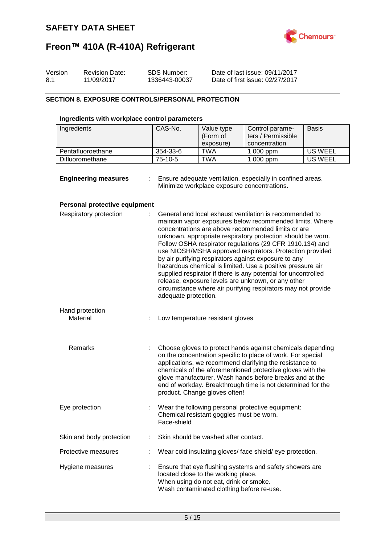

| Version | <b>Revision Date:</b> | SDS Number:   | Date of last issue: 09/11/2017  |
|---------|-----------------------|---------------|---------------------------------|
| 8.1     | 11/09/2017            | 1336443-00037 | Date of first issue: 02/27/2017 |

### **SECTION 8. EXPOSURE CONTROLS/PERSONAL PROTECTION**

### **Ingredients with workplace control parameters**

| Ingredients       | CAS-No.   | Value type<br>(Form of<br>exposure) | Control parame-<br>ters / Permissible<br>concentration | <b>Basis</b> |
|-------------------|-----------|-------------------------------------|--------------------------------------------------------|--------------|
| Pentafluoroethane | 354-33-6  | TWA                                 | $1,000$ ppm                                            | US WEEL      |
| Difluoromethane   | $75-10-5$ | <b>TWA</b>                          | $1,000$ ppm                                            | US WEEL      |

| <b>Engineering measures</b> | Ensure adequate ventilation, especially in confined areas. |
|-----------------------------|------------------------------------------------------------|
|                             | Minimize workplace exposure concentrations.                |

### **Personal protective equipment**

| Respiratory protection      |   | General and local exhaust ventilation is recommended to<br>maintain vapor exposures below recommended limits. Where<br>concentrations are above recommended limits or are<br>unknown, appropriate respiratory protection should be worn.<br>Follow OSHA respirator regulations (29 CFR 1910.134) and<br>use NIOSH/MSHA approved respirators. Protection provided<br>by air purifying respirators against exposure to any<br>hazardous chemical is limited. Use a positive pressure air<br>supplied respirator if there is any potential for uncontrolled<br>release, exposure levels are unknown, or any other<br>circumstance where air purifying respirators may not provide<br>adequate protection. |
|-----------------------------|---|--------------------------------------------------------------------------------------------------------------------------------------------------------------------------------------------------------------------------------------------------------------------------------------------------------------------------------------------------------------------------------------------------------------------------------------------------------------------------------------------------------------------------------------------------------------------------------------------------------------------------------------------------------------------------------------------------------|
| Hand protection<br>Material | ÷ | Low temperature resistant gloves                                                                                                                                                                                                                                                                                                                                                                                                                                                                                                                                                                                                                                                                       |
| Remarks                     |   | Choose gloves to protect hands against chemicals depending<br>on the concentration specific to place of work. For special<br>applications, we recommend clarifying the resistance to<br>chemicals of the aforementioned protective gloves with the<br>glove manufacturer. Wash hands before breaks and at the<br>end of workday. Breakthrough time is not determined for the<br>product. Change gloves often!                                                                                                                                                                                                                                                                                          |
| Eye protection              |   | Wear the following personal protective equipment:<br>Chemical resistant goggles must be worn.<br>Face-shield                                                                                                                                                                                                                                                                                                                                                                                                                                                                                                                                                                                           |
| Skin and body protection    | t | Skin should be washed after contact.                                                                                                                                                                                                                                                                                                                                                                                                                                                                                                                                                                                                                                                                   |
| Protective measures         |   | Wear cold insulating gloves/ face shield/ eye protection.                                                                                                                                                                                                                                                                                                                                                                                                                                                                                                                                                                                                                                              |
| Hygiene measures            |   | Ensure that eye flushing systems and safety showers are<br>located close to the working place.<br>When using do not eat, drink or smoke.<br>Wash contaminated clothing before re-use.                                                                                                                                                                                                                                                                                                                                                                                                                                                                                                                  |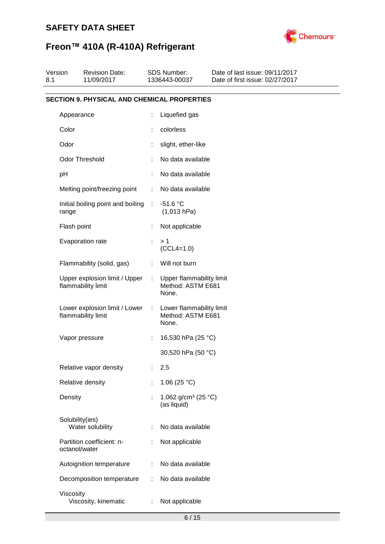

# **Freon™ 410A (R-410A) Refrigerant**

| Version<br>8.1 | <b>Revision Date:</b><br>11/09/2017                 |                              | <b>SDS Number:</b><br>1336443-00037                    | Date of last issue: 09/11/2017<br>Date of first issue: 02/27/2017 |
|----------------|-----------------------------------------------------|------------------------------|--------------------------------------------------------|-------------------------------------------------------------------|
|                | <b>SECTION 9. PHYSICAL AND CHEMICAL PROPERTIES</b>  |                              |                                                        |                                                                   |
|                | Appearance                                          |                              | Liquefied gas                                          |                                                                   |
|                | Color                                               |                              | colorless                                              |                                                                   |
|                | Odor                                                |                              | slight, ether-like                                     |                                                                   |
|                | <b>Odor Threshold</b>                               |                              | No data available                                      |                                                                   |
|                | pH                                                  |                              | No data available                                      |                                                                   |
|                | Melting point/freezing point                        | ÷                            | No data available                                      |                                                                   |
|                | Initial boiling point and boiling<br>range          | ÷.                           | $-51.6 °C$<br>(1,013 hPa)                              |                                                                   |
|                | Flash point                                         |                              | Not applicable                                         |                                                                   |
|                | Evaporation rate                                    | ÷                            | >1<br>$(CCL4=1.0)$                                     |                                                                   |
|                | Flammability (solid, gas)                           | ÷                            | Will not burn                                          |                                                                   |
|                | Upper explosion limit / Upper<br>flammability limit | $\mathcal{L}_{\mathrm{max}}$ | Upper flammability limit<br>Method: ASTM E681<br>None. |                                                                   |
|                | Lower explosion limit / Lower<br>flammability limit | $\sim$ 1                     | Lower flammability limit<br>Method: ASTM E681<br>None. |                                                                   |
|                | Vapor pressure                                      | ÷                            | 16,530 hPa (25 °C)                                     |                                                                   |
|                |                                                     |                              | 30,520 hPa (50 °C)                                     |                                                                   |
|                | Relative vapor density                              | ÷.                           | 2.5                                                    |                                                                   |
|                | Relative density                                    |                              | 1.06 $(25 °C)$                                         |                                                                   |
|                | Density                                             |                              | 1.062 g/cm <sup>3</sup> (25 °C)<br>(as liquid)         |                                                                   |
|                | Solubility(ies)<br>Water solubility                 |                              | No data available                                      |                                                                   |
|                | Partition coefficient: n-<br>octanol/water          |                              | Not applicable                                         |                                                                   |
|                | Autoignition temperature                            | ÷                            | No data available                                      |                                                                   |
|                | Decomposition temperature                           |                              | No data available                                      |                                                                   |
|                | Viscosity<br>Viscosity, kinematic                   | ÷                            | Not applicable                                         |                                                                   |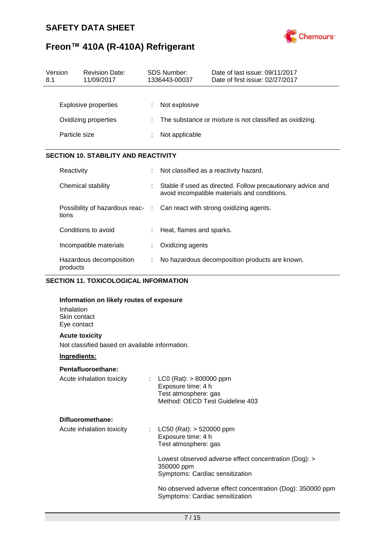

# **Freon™ 410A (R-410A) Refrigerant**

| Version<br>8.1 |               | <b>Revision Date:</b><br>11/09/2017                                      |   | SDS Number:<br>1336443-00037 | Date of last issue: 09/11/2017<br>Date of first issue: 02/27/2017                                           |
|----------------|---------------|--------------------------------------------------------------------------|---|------------------------------|-------------------------------------------------------------------------------------------------------------|
|                |               |                                                                          |   |                              |                                                                                                             |
|                |               | <b>Explosive properties</b>                                              |   | Not explosive                |                                                                                                             |
|                |               | Oxidizing properties                                                     |   |                              | The substance or mixture is not classified as oxidizing.                                                    |
|                | Particle size |                                                                          |   | Not applicable               |                                                                                                             |
|                |               |                                                                          |   |                              |                                                                                                             |
|                |               | <b>SECTION 10. STABILITY AND REACTIVITY</b>                              |   |                              |                                                                                                             |
|                | Reactivity    |                                                                          |   |                              | Not classified as a reactivity hazard.                                                                      |
|                |               | Chemical stability                                                       |   |                              | Stable if used as directed. Follow precautionary advice and<br>avoid incompatible materials and conditions. |
|                | tions         | Possibility of hazardous reac- : Can react with strong oxidizing agents. |   |                              |                                                                                                             |
|                |               | Conditions to avoid                                                      |   | Heat, flames and sparks.     |                                                                                                             |
|                |               | Incompatible materials                                                   |   | Oxidizing agents             |                                                                                                             |
|                | products      | Hazardous decomposition                                                  | ÷ |                              | No hazardous decomposition products are known.                                                              |

### **SECTION 11. TOXICOLOGICAL INFORMATION**

| Information on likely routes of exposure       |                                                                                                              |  |  |  |
|------------------------------------------------|--------------------------------------------------------------------------------------------------------------|--|--|--|
| Inhalation<br>Skin contact<br>Eye contact      |                                                                                                              |  |  |  |
| <b>Acute toxicity</b>                          |                                                                                                              |  |  |  |
| Not classified based on available information. |                                                                                                              |  |  |  |
| Ingredients:                                   |                                                                                                              |  |  |  |
| Pentafluoroethane:                             |                                                                                                              |  |  |  |
| Acute inhalation toxicity<br>÷                 | $LCO$ (Rat): $> 800000$ ppm<br>Exposure time: 4 h<br>Test atmosphere: gas<br>Method: OECD Test Guideline 403 |  |  |  |
| Difluoromethane:                               |                                                                                                              |  |  |  |
| Acute inhalation toxicity                      | : LC50 (Rat): $>$ 520000 ppm<br>Exposure time: 4 h<br>Test atmosphere: gas                                   |  |  |  |
|                                                | Lowest observed adverse effect concentration (Dog): ><br>350000 ppm<br>Symptoms: Cardiac sensitization       |  |  |  |
|                                                | No observed adverse effect concentration (Dog): 350000 ppm<br>Symptoms: Cardiac sensitization                |  |  |  |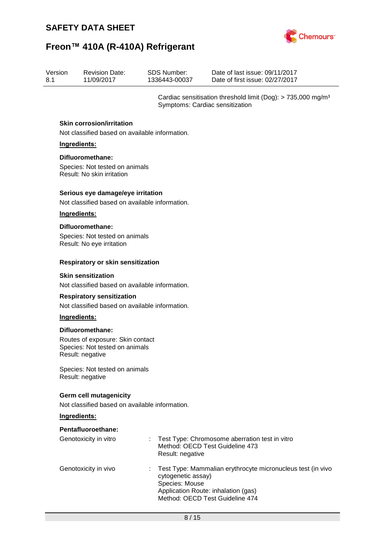

| Version | <b>Revision Date:</b> | SDS Number:   | Date of last issue: 09/11/2017  |
|---------|-----------------------|---------------|---------------------------------|
| 8.1     | 11/09/2017            | 1336443-00037 | Date of first issue: 02/27/2017 |

Cardiac sensitisation threshold limit (Dog): > 735,000 mg/m³ Symptoms: Cardiac sensitization

### **Skin corrosion/irritation**

Not classified based on available information.

### **Ingredients:**

### **Difluoromethane:**

Species: Not tested on animals Result: No skin irritation

#### **Serious eye damage/eye irritation**

Not classified based on available information.

#### **Ingredients:**

#### **Difluoromethane:**

Species: Not tested on animals Result: No eye irritation

### **Respiratory or skin sensitization**

#### **Skin sensitization**

Not classified based on available information.

#### **Respiratory sensitization**

Not classified based on available information.

### **Ingredients:**

### **Difluoromethane:**

Routes of exposure: Skin contact Species: Not tested on animals Result: negative

Species: Not tested on animals Result: negative

### **Germ cell mutagenicity**

Not classified based on available information.

### **Ingredients:**

### **Pentafluoroethane:**

| Genotoxicity in vitro | : Test Type: Chromosome aberration test in vitro<br>Method: OECD Test Guideline 473<br>Result: negative                                                                         |
|-----------------------|---------------------------------------------------------------------------------------------------------------------------------------------------------------------------------|
| Genotoxicity in vivo  | : Test Type: Mammalian erythrocyte micronucleus test (in vivo<br>cytogenetic assay)<br>Species: Mouse<br>Application Route: inhalation (gas)<br>Method: OECD Test Guideline 474 |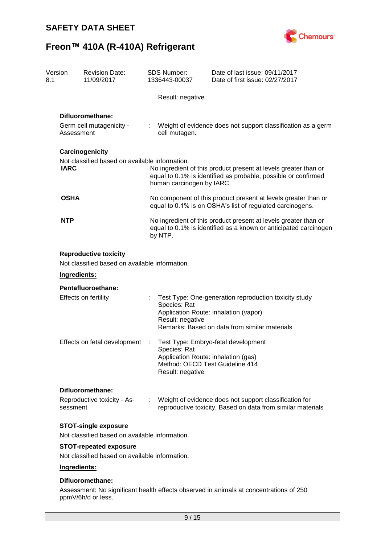

| Version<br>8.1 | <b>Revision Date:</b><br>11/09/2017                                                            |                                                                                                                                                | <b>SDS Number:</b><br>1336443-00037                                     | Date of last issue: 09/11/2017<br>Date of first issue: 02/27/2017                                                                               |  |
|----------------|------------------------------------------------------------------------------------------------|------------------------------------------------------------------------------------------------------------------------------------------------|-------------------------------------------------------------------------|-------------------------------------------------------------------------------------------------------------------------------------------------|--|
|                |                                                                                                |                                                                                                                                                | Result: negative                                                        |                                                                                                                                                 |  |
|                | Difluoromethane:<br>Germ cell mutagenicity -<br>Assessment                                     |                                                                                                                                                | cell mutagen.                                                           | Weight of evidence does not support classification as a germ                                                                                    |  |
| <b>IARC</b>    | Carcinogenicity<br>Not classified based on available information.                              |                                                                                                                                                | human carcinogen by IARC.                                               | No ingredient of this product present at levels greater than or<br>equal to 0.1% is identified as probable, possible or confirmed               |  |
| <b>OSHA</b>    |                                                                                                | No component of this product present at levels greater than or<br>equal to 0.1% is on OSHA's list of regulated carcinogens.                    |                                                                         |                                                                                                                                                 |  |
| <b>NTP</b>     |                                                                                                | No ingredient of this product present at levels greater than or<br>equal to 0.1% is identified as a known or anticipated carcinogen<br>by NTP. |                                                                         |                                                                                                                                                 |  |
|                | <b>Reproductive toxicity</b><br>Not classified based on available information.<br>Ingredients: |                                                                                                                                                |                                                                         |                                                                                                                                                 |  |
|                | Pentafluoroethane:                                                                             |                                                                                                                                                |                                                                         |                                                                                                                                                 |  |
|                | <b>Effects on fertility</b>                                                                    |                                                                                                                                                | Species: Rat<br>Result: negative                                        | Test Type: One-generation reproduction toxicity study<br>Application Route: inhalation (vapor)<br>Remarks: Based on data from similar materials |  |
|                | Effects on fetal development                                                                   |                                                                                                                                                | Species: Rat<br>Application Route: inhalation (gas)<br>Result: negative | Test Type: Embryo-fetal development<br>Method: OECD Test Guideline 414                                                                          |  |
|                | Difluoromethane:                                                                               |                                                                                                                                                |                                                                         |                                                                                                                                                 |  |
| sessment       | Reproductive toxicity - As-                                                                    |                                                                                                                                                |                                                                         | Weight of evidence does not support classification for<br>reproductive toxicity, Based on data from similar materials                           |  |
|                | <b>STOT-single exposure</b>                                                                    |                                                                                                                                                |                                                                         |                                                                                                                                                 |  |
|                | Not classified based on available information.                                                 |                                                                                                                                                |                                                                         |                                                                                                                                                 |  |
|                | <b>STOT-repeated exposure</b><br>Not classified based on available information.                |                                                                                                                                                |                                                                         |                                                                                                                                                 |  |
|                | Ingredients:                                                                                   |                                                                                                                                                |                                                                         |                                                                                                                                                 |  |
|                |                                                                                                |                                                                                                                                                |                                                                         |                                                                                                                                                 |  |

### **Difluoromethane:**

Assessment: No significant health effects observed in animals at concentrations of 250 ppmV/6h/d or less.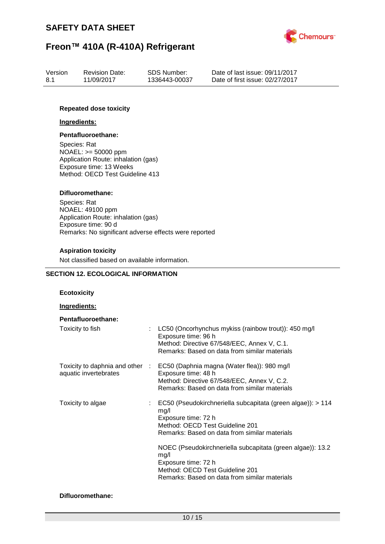

| Version | <b>Revision Date:</b> | SDS Number:   | Date of last issue: 09/11/2017  |
|---------|-----------------------|---------------|---------------------------------|
| 8.1     | 11/09/2017            | 1336443-00037 | Date of first issue: 02/27/2017 |

### **Repeated dose toxicity**

#### **Ingredients:**

#### **Pentafluoroethane:**

Species: Rat NOAEL: >= 50000 ppm Application Route: inhalation (gas) Exposure time: 13 Weeks Method: OECD Test Guideline 413

### **Difluoromethane:**

Species: Rat NOAEL: 49100 ppm Application Route: inhalation (gas) Exposure time: 90 d Remarks: No significant adverse effects were reported

### **Aspiration toxicity**

Not classified based on available information.

### **SECTION 12. ECOLOGICAL INFORMATION**

### **Ecotoxicity**

#### **Ingredients:**

| Pentafluoroethane:    |                                                                                                                                                                                                                                                                                                                                                                              |
|-----------------------|------------------------------------------------------------------------------------------------------------------------------------------------------------------------------------------------------------------------------------------------------------------------------------------------------------------------------------------------------------------------------|
| Toxicity to fish      | $\therefore$ LC50 (Oncorhynchus mykiss (rainbow trout)): 450 mg/l<br>Exposure time: 96 h<br>Method: Directive 67/548/EEC, Annex V, C.1.<br>Remarks: Based on data from similar materials                                                                                                                                                                                     |
| aquatic invertebrates | Toxicity to daphnia and other : EC50 (Daphnia magna (Water flea)): 980 mg/l<br>Exposure time: 48 h<br>Method: Directive 67/548/EEC, Annex V, C.2.<br>Remarks: Based on data from similar materials                                                                                                                                                                           |
| Toxicity to algae     | $\therefore$ EC50 (Pseudokirchneriella subcapitata (green algae)): > 114<br>mg/l<br>Exposure time: 72 h<br>Method: OECD Test Guideline 201<br>Remarks: Based on data from similar materials<br>NOEC (Pseudokirchneriella subcapitata (green algae)): 13.2<br>mq/l<br>Exposure time: 72 h<br>Method: OECD Test Guideline 201<br>Remarks: Based on data from similar materials |

### **Difluoromethane:**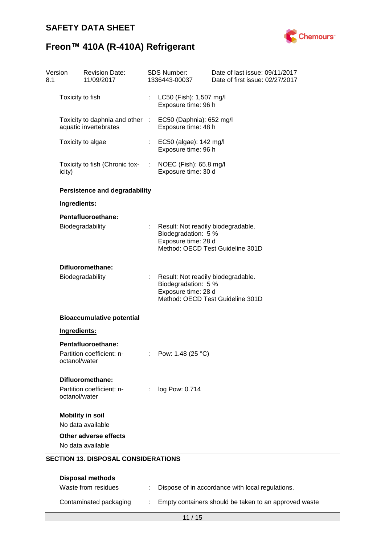

# **Freon™ 410A (R-410A) Refrigerant**

| Version<br>8.1 |                         | <b>Revision Date:</b><br>11/09/2017                                               |   | <b>SDS Number:</b><br>1336443-00037                                                | Date of last issue: 09/11/2017<br>Date of first issue: 02/27/2017 |
|----------------|-------------------------|-----------------------------------------------------------------------------------|---|------------------------------------------------------------------------------------|-------------------------------------------------------------------|
|                | Toxicity to fish        |                                                                                   |   | LC50 (Fish): 1,507 mg/l<br>Exposure time: 96 h                                     |                                                                   |
|                |                         | Toxicity to daphnia and other : EC50 (Daphnia): 652 mg/l<br>aquatic invertebrates |   | Exposure time: 48 h                                                                |                                                                   |
|                |                         | Toxicity to algae                                                                 |   | : EC50 (algae): 142 mg/l<br>Exposure time: 96 h                                    |                                                                   |
|                | icity)                  | Toxicity to fish (Chronic tox-                                                    |   | : NOEC (Fish): $65.8$ mg/l<br>Exposure time: 30 d                                  |                                                                   |
|                |                         | <b>Persistence and degradability</b>                                              |   |                                                                                    |                                                                   |
|                | Ingredients:            |                                                                                   |   |                                                                                    |                                                                   |
|                |                         | Pentafluoroethane:                                                                |   |                                                                                    |                                                                   |
|                |                         | Biodegradability                                                                  |   | : Result: Not readily biodegradable.<br>Biodegradation: 5 %<br>Exposure time: 28 d | Method: OECD Test Guideline 301D                                  |
|                |                         | Difluoromethane:                                                                  |   |                                                                                    |                                                                   |
|                |                         | Biodegradability                                                                  |   | : Result: Not readily biodegradable.<br>Biodegradation: 5 %<br>Exposure time: 28 d | Method: OECD Test Guideline 301D                                  |
|                |                         | <b>Bioaccumulative potential</b>                                                  |   |                                                                                    |                                                                   |
|                | Ingredients:            |                                                                                   |   |                                                                                    |                                                                   |
|                |                         | Pentafluoroethane:                                                                |   |                                                                                    |                                                                   |
|                | octanol/water           | Partition coefficient: n-                                                         |   | Pow: 1.48 (25 °C)                                                                  |                                                                   |
|                |                         | Difluoromethane:                                                                  |   |                                                                                    |                                                                   |
|                | octanol/water           | Partition coefficient: n-                                                         | ÷ | log Pow: 0.714                                                                     |                                                                   |
|                | <b>Mobility in soil</b> |                                                                                   |   |                                                                                    |                                                                   |
|                |                         | No data available                                                                 |   |                                                                                    |                                                                   |
|                |                         | <b>Other adverse effects</b><br>No data available                                 |   |                                                                                    |                                                                   |
|                |                         | <b>SECTION 13. DISPOSAL CONSIDERATIONS</b><br><b>Disposal methods</b>             |   |                                                                                    |                                                                   |

| Waste from residues    | Dispose of in accordance with local regulations.        |
|------------------------|---------------------------------------------------------|
| Contaminated packaging | : Empty containers should be taken to an approved waste |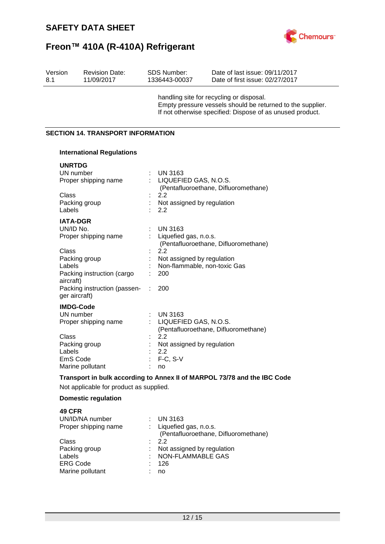

| Version<br>8.1               | <b>Revision Date:</b><br>11/09/2017                                                                                     | <b>SDS Number:</b><br>Date of last issue: 09/11/2017<br>1336443-00037<br>Date of first issue: 02/27/2017                                                            |
|------------------------------|-------------------------------------------------------------------------------------------------------------------------|---------------------------------------------------------------------------------------------------------------------------------------------------------------------|
|                              |                                                                                                                         | handling site for recycling or disposal.<br>Empty pressure vessels should be returned to the supplier.<br>If not otherwise specified: Dispose of as unused product. |
|                              | <b>SECTION 14. TRANSPORT INFORMATION</b>                                                                                |                                                                                                                                                                     |
|                              | <b>International Regulations</b>                                                                                        |                                                                                                                                                                     |
| Class                        | <b>UNRTDG</b><br>UN number<br>Proper shipping name<br>Packing group                                                     | UN 3163<br>LIQUEFIED GAS, N.O.S.<br>(Pentafluoroethane, Difluoromethane)<br>2.2<br>Not assigned by regulation                                                       |
| Labels                       | <b>IATA-DGR</b><br>UN/ID No.<br>Proper shipping name                                                                    | 2.2<br><b>UN 3163</b><br>Liquefied gas, n.o.s.<br>(Pentafluoroethane, Difluoromethane)                                                                              |
| Class<br>Labels<br>aircraft) | Packing group<br>Packing instruction (cargo<br>Packing instruction (passen-                                             | 2.2<br>Not assigned by regulation<br>Non-flammable, non-toxic Gas<br>200<br>200                                                                                     |
| Class<br>Labels              | ger aircraft)<br><b>IMDG-Code</b><br>UN number<br>Proper shipping name<br>Packing group<br>EmS Code<br>Marine pollutant | <b>UN 3163</b><br>LIQUEFIED GAS, N.O.S.<br>(Pentafluoroethane, Difluoromethane)<br>2.2<br>Not assigned by regulation<br>2.2<br>$F-C, S-V$<br>no                     |
|                              | Not applicable for product as supplied.                                                                                 | Transport in bulk according to Annex II of MARPOL 73/78 and the IBC Code                                                                                            |
|                              | <b>Domestic regulation</b>                                                                                              |                                                                                                                                                                     |
| <b>49 CFR</b>                | UN/ID/NA number<br>Proper shipping name                                                                                 | <b>UN 3163</b><br>Liquefied gas, n.o.s.<br>(Pentafluoroethane, Difluoromethane)                                                                                     |
| Class<br>Labels              | Packing group<br><b>ERG Code</b>                                                                                        | 2.2<br>Not assigned by regulation<br><b>NON-FLAMMABLE GAS</b><br>126                                                                                                |

Marine pollutant : no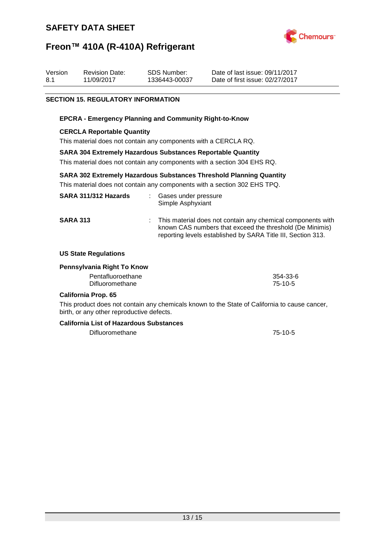

## **Freon™ 410A (R-410A) Refrigerant**

| Version | <b>Revision Date:</b> | SDS Number:   | Date of last issue: 09/11/2017  |
|---------|-----------------------|---------------|---------------------------------|
| 8.1     | 11/09/2017            | 1336443-00037 | Date of first issue: 02/27/2017 |

### **SECTION 15. REGULATORY INFORMATION**

### **EPCRA - Emergency Planning and Community Right-to-Know**

### **CERCLA Reportable Quantity**

This material does not contain any components with a CERCLA RQ.

### **SARA 304 Extremely Hazardous Substances Reportable Quantity**

This material does not contain any components with a section 304 EHS RQ.

### **SARA 302 Extremely Hazardous Substances Threshold Planning Quantity**

This material does not contain any components with a section 302 EHS TPQ.

| SARA 311/312 Hazards |    | Gases under pressure<br>Simple Asphyxiant                                                                                                                                               |
|----------------------|----|-----------------------------------------------------------------------------------------------------------------------------------------------------------------------------------------|
| <b>SARA 313</b>      | ÷. | This material does not contain any chemical components with<br>known CAS numbers that exceed the threshold (De Minimis)<br>reporting levels established by SARA Title III, Section 313. |

### **US State Regulations**

#### **Pennsylvania Right To Know**

| Pentafluoroethane | 354-33-6 |
|-------------------|----------|
| Difluoromethane   | 75-10-5  |

#### **California Prop. 65**

This product does not contain any chemicals known to the State of California to cause cancer, birth, or any other reproductive defects.

#### **California List of Hazardous Substances**

Difluoromethane 75-10-5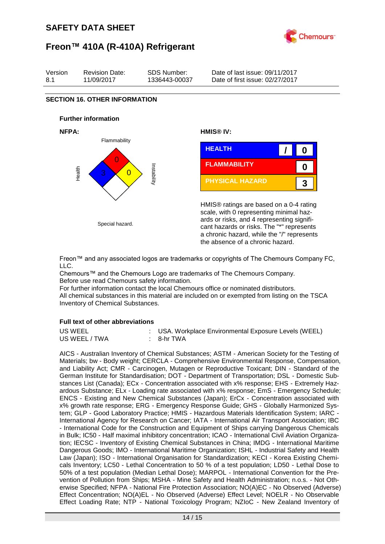



Freon™ and any associated logos are trademarks or copyrights of The Chemours Company FC, LLC.

Chemours™ and the Chemours Logo are trademarks of The Chemours Company. Before use read Chemours safety information.

For further information contact the local Chemours office or nominated distributors. All chemical substances in this material are included on or exempted from listing on the TSCA Inventory of Chemical Substances.

### **Full text of other abbreviations**

| US WEEL       | : USA. Workplace Environmental Exposure Levels (WEEL) |
|---------------|-------------------------------------------------------|
| US WEEL / TWA | : 8-hr TWA                                            |

AICS - Australian Inventory of Chemical Substances; ASTM - American Society for the Testing of Materials; bw - Body weight; CERCLA - Comprehensive Environmental Response, Compensation, and Liability Act; CMR - Carcinogen, Mutagen or Reproductive Toxicant; DIN - Standard of the German Institute for Standardisation; DOT - Department of Transportation; DSL - Domestic Substances List (Canada); ECx - Concentration associated with x% response; EHS - Extremely Hazardous Substance; ELx - Loading rate associated with x% response; EmS - Emergency Schedule; ENCS - Existing and New Chemical Substances (Japan); ErCx - Concentration associated with x% growth rate response; ERG - Emergency Response Guide; GHS - Globally Harmonized System; GLP - Good Laboratory Practice; HMIS - Hazardous Materials Identification System; IARC - International Agency for Research on Cancer; IATA - International Air Transport Association; IBC - International Code for the Construction and Equipment of Ships carrying Dangerous Chemicals in Bulk; IC50 - Half maximal inhibitory concentration; ICAO - International Civil Aviation Organization; IECSC - Inventory of Existing Chemical Substances in China; IMDG - International Maritime Dangerous Goods; IMO - International Maritime Organization; ISHL - Industrial Safety and Health Law (Japan); ISO - International Organisation for Standardization; KECI - Korea Existing Chemicals Inventory; LC50 - Lethal Concentration to 50 % of a test population; LD50 - Lethal Dose to 50% of a test population (Median Lethal Dose); MARPOL - International Convention for the Prevention of Pollution from Ships; MSHA - Mine Safety and Health Administration; n.o.s. - Not Otherwise Specified; NFPA - National Fire Protection Association; NO(A)EC - No Observed (Adverse) Effect Concentration; NO(A)EL - No Observed (Adverse) Effect Level; NOELR - No Observable Effect Loading Rate; NTP - National Toxicology Program; NZIoC - New Zealand Inventory of